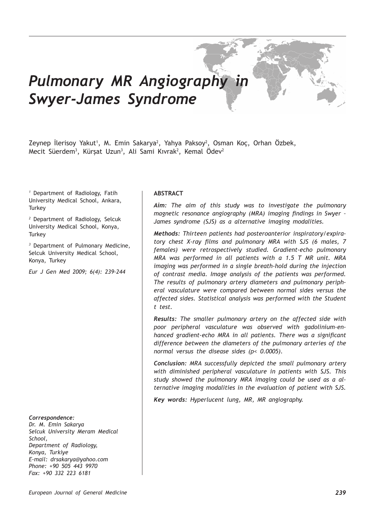# *Pulmonary MR Angiography in Swyer-James Syndrome*

Zeynep Ilerisoy Yakut<sup>1</sup>, M. Emin Sakarya<sup>2</sup>, Yahya Paksoy<sup>2</sup>, Osman Koç, Orhan Ozbek, Mecit Süerdem<sup>3</sup>, Kürşat Uzun<sup>3</sup>, Ali Sami Kıvrak<sup>2</sup>, Kemal Odev<sup>2</sup>

*1* Department of Radiology, Fatih University Medical School, Ankara, **Turkey** 

*2* Department of Radiology, Selcuk University Medical School, Konya, **Turkey** 

*3* Department of Pulmonary Medicine, Selcuk University Medical School, Konya, Turkey

*Eur J Gen Med 2009; 6(4): 239-244*

#### *Correspondence:*

*Dr. M. Emin Sakarya Selcuk University Meram Medical School, Department of Radiology, Konya, Turkiye E-mail: drsakarya@yahoo.com Phone: +90 505 443 9970 Fax: +90 332 223 6181*

#### **ABSTRACT**

*Aim: The aim of this study was to investigate the pulmonary magnetic resonance angiography (MRA) imaging findings in Swyer – James syndrome (SJS) as a alternative imaging modalities.*

*Methods: Thirteen patients had posteroanterior inspiratory/expiratory chest X-ray films and pulmonary MRA with SJS (6 males, 7 females) were retrospectively studied. Gradient-echo pulmonary MRA was performed in all patients with a 1.5 T MR unit. MRA imaging was performed in a single breath-hold during the injection of contrast media. Image analysis of the patients was performed. The results of pulmonary artery diameters and pulmonary peripheral vasculature were compared between normal sides versus the affected sides. Statistical analysis was performed with the Student t test.*

*Results: The smaller pulmonary artery on the affected side with poor peripheral vasculature was observed with gadolinium-enhanced gradient-echo MRA in all patients. There was a significant difference between the diameters of the pulmonary arteries of the normal versus the disease sides (p< 0.0005).* 

*Conclusion: MRA successfully depicted the small pulmonary artery with diminished peripheral vasculature in patients with SJS. This study showed the pulmonary MRA imaging could be used as a alternative imaging modalities in the evaluation of patient with SJS.*

*Key words: Hyperlucent lung, MR, MR angiography.*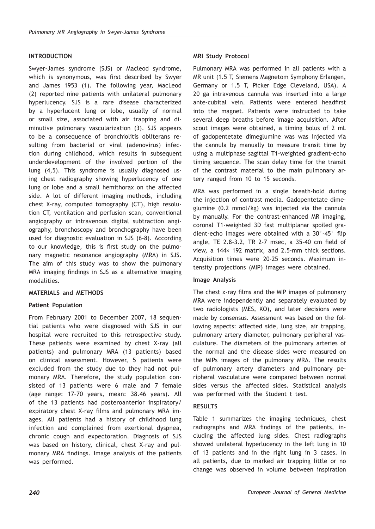# **INTRODUCTION**

Swyer-James syndrome (SJS) or Macleod syndrome, which is synonymous, was first described by Swyer and James 1953 (1). The following year, MacLeod (2) reported nine patients with unilateral pulmonary hyperlucency. SJS is a rare disease characterized by a hyperlucent lung or lobe, usually of normal or small size, associated with air trapping and diminutive pulmonary vascularization (3). SJS appears to be a consequence of bronchiolitis obliterans resulting from bacterial or viral (adenovirus) infection during childhood, which results in subsequent underdevelopment of the involved portion of the lung (4,5). This syndrome is usually diagnosed using chest radiography showing hyperlucency of one lung or lobe and a small hemithorax on the affected side. A lot of different imaging methods, including chest X-ray, computed tomography (CT), high resolution CT, ventilation and perfusion scan, conventional angiography or intravenous digital subtraction angiography, bronchoscopy and bronchography have been used for diagnostic evaluation in SJS (6-8). According to our knowledge, this is first study on the pulmonary magnetic resonance angiography (MRA) in SJS. The aim of this study was to show the pulmonary MRA imaging findings in SJS as a alternative imaging modalities.

## **MATERIALS and METHODS**

## **Patient Population**

From February 2001 to December 2007, 18 sequential patients who were diagnosed with SJS in our hospital were recruited to this retrospective study. These patients were examined by chest X-ray (all patients) and pulmonary MRA (13 patients) based on clinical assessment. However, 5 patients were excluded from the study due to they had not pulmonary MRA. Therefore, the study population consisted of 13 patients were 6 male and 7 female (age range: 17–70 years, mean: 38.46 years). All of the 13 patients had posteroanterior inspiratory/ expiratory chest X-ray films and pulmonary MRA images. All patients had a history of childhood lung infection and complained from exertional dyspnea, chronic cough and expectoration. Diagnosis of SJS was based on history, clinical, chest X-ray and pulmonary MRA findings. Image analysis of the patients was performed.

## **MRI Study Protocol**

Pulmonary MRA was performed in all patients with a MR unit (1.5 T, Siemens Magnetom Symphony Erlangen, Germany or 1.5 T, Picker Edge Cleveland, USA). A 20 ga intravenous cannula was inserted into a large ante-cubital vein. Patients were entered headfirst into the magnet. Patients were instructed to take several deep breaths before image acquisition. After scout images were obtained, a timing bolus of 2 mL of gadopentetate dimeglumine was was injected via the cannula by manually to measure transit time by using a multiphase sagittal T1-weighted gradient-echo timing sequence. The scan delay time for the transit of the contrast material to the main pulmonary artery ranged from 10 to 15 seconds.

MRA was performed in a single breath-hold during the injection of contrast media. Gadopentetate dimeglumine (0.2 mmol/kg) was injected via the cannula by manually. For the contrast-enhanced MR imaging, coronal T1-weighted 3D fast multiplanar spoiled gradient-echo images were obtained with a 30°-45° flip angle, TE 2.8-3.2, TR 2-7 msec, a 35-40 cm field of view, a 144× 192 matrix, and 2.5-mm thick sections. Acquisition times were 20-25 seconds. Maximum intensity projections (MIP) images were obtained.

#### **Image Analysis**

The chest x-ray films and the MIP images of pulmonary MRA were independently and separately evaluated by two radiologists (MES, KO), and later decisions were made by consensus. Assessment was based on the following aspects: affected side, lung size, air trapping, pulmonary artery diameter, pulmonary peripheral vasculature. The diameters of the pulmonary arteries of the normal and the disease sides were measured on the MIPs images of the pulmonary MRA. The results of pulmonary artery diameters and pulmonary peripheral vasculature were compared between normal sides versus the affected sides. Statistical analysis was performed with the Student t test.

#### **RESULTS**

Table 1 summarizes the imaging techniques, chest radiographs and MRA findings of the patients, including the affected lung sides. Chest radiographs showed unilateral hyperlucency in the left lung in 10 of 13 patients and in the right lung in 3 cases. In all patients, due to marked air trapping little or no change was observed in volume between inspiration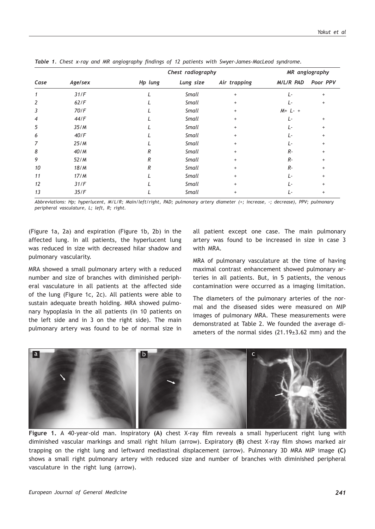|      |         | Chest radiography |              |              | MR angiography |           |
|------|---------|-------------------|--------------|--------------|----------------|-----------|
| Case | Age/sex | Hp lung           | Lung size    | Air trapping | M/L/R PAD      | Poor PPV  |
| 1    | 31/F    |                   | <b>Small</b> | $+$          | L-             | $\ddot{}$ |
| 2    | 62/F    |                   | Small        | $\ddot{}$    | Ŀ              | $\ddot{}$ |
| 3    | 70/F    |                   | <b>Small</b> | $\ddot{}$    | $M + L - +$    |           |
| 4    | 44/F    |                   | <b>Small</b> | $+$          | Ŀ              | $\ddot{}$ |
| 5    | 35/M    |                   | <b>Small</b> | $\ddot{}$    | Ŀ              | $\ddot{}$ |
| 6    | 40/F    |                   | <b>Small</b> | $\ddot{}$    | Ŀ              | $+$       |
| 7    | 25/M    |                   | <b>Small</b> | $\ddot{}$    | Ŀ              | $\ddot{}$ |
| 8    | 40/M    | R                 | <b>Small</b> | $\ddot{}$    | $R -$          | $\ddot{}$ |
| 9    | 52/M    | R                 | <b>Small</b> | $\ddot{}$    | $R -$          | $\ddot{}$ |
| 10   | 18/M    | R                 | <b>Small</b> | $\ddot{}$    | $R -$          | $\ddot{}$ |
| 11   | 17/M    |                   | <b>Small</b> | $\ddot{}$    | Ŀ              | $\ddot{}$ |
| 12   | 31/F    |                   | <b>Small</b> | $+$          | Ŀ              | $\div$    |
| 13   | 35/F    |                   | <b>Small</b> | $\ddot{}$    | Ŀ              | $\ddot{}$ |

*Table 1. Chest x-ray and MR angiography findings of 12 patients with Swyer-James-MacLeod syndrome.*

*Abbreviations: Hp; hyperlucent, M/L/R; Main/left/right, PAD; pulmonary artery diameter (+; increase, -; decrease), PPV; pulmonary peripheral vasculature, L; left, R; right.*

(Figure 1a, 2a) and expiration (Figure 1b, 2b) in the affected lung. In all patients, the hyperlucent lung was reduced in size with decreased hilar shadow and pulmonary vascularity.

MRA showed a small pulmonary artery with a reduced number and size of branches with diminished peripheral vasculature in all patients at the affected side of the lung (Figure 1c, 2c). All patients were able to sustain adequate breath holding. MRA showed pulmonary hypoplasia in the all patients (in 10 patients on the left side and in 3 on the right side). The main pulmonary artery was found to be of normal size in all patient except one case. The main pulmonary artery was found to be increased in size in case 3 with MRA.

MRA of pulmonary vasculature at the time of having maximal contrast enhancement showed pulmonary arteries in all patients. But, in 5 patients, the venous contamination were occurred as a imaging limitation.

The diameters of the pulmonary arteries of the normal and the diseased sides were measured on MIP images of pulmonary MRA. These measurements were demonstrated at Table 2. We founded the average diameters of the normal sides (21.19±3.62 mm) and the



**Figure 1.** A 40-year-old man. Inspiratory **(A)** chest X-ray film reveals a small hyperlucent right lung with diminished vascular markings and small right hilum (arrow). Expiratory **(B)** chest X-ray film shows marked air trapping on the right lung and leftward mediastinal displacement (arrow). Pulmonary 3D MRA MIP image **(C)** shows a small right pulmonary artery with reduced size and number of branches with diminished peripheral vasculature in the right lung (arrow).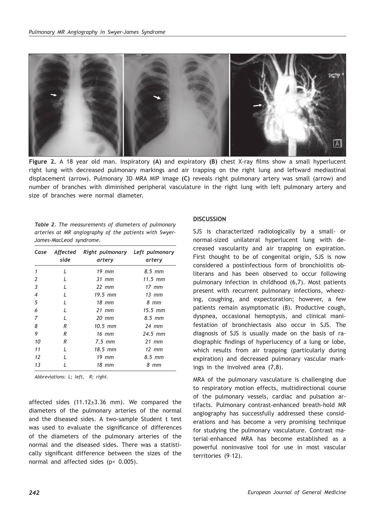

**Figure 2.** A 18 year old man. Inspiratory **(A)** and expiratory **(B)** chest X-ray films show a small hyperlucent right lung with decreased pulmonary markings and air trapping on the right lung and leftward mediastinal displacement (arrow). Pulmonary 3D MRA MIP image **(C)** reveals right pulmonary artery was small (arrow) and number of branches with diminished peripheral vasculature in the right lung with left pulmonary artery and size of branches were normal diameter.

| <b>Table 2.</b> The measurements of diameters of pulmonary |  |  |  |  |
|------------------------------------------------------------|--|--|--|--|
| arteries at MR angiography of the patients with Swyer-     |  |  |  |  |
| James-MacLeod syndrome.                                    |  |  |  |  |

| Case           | Affected<br>side | Right pulmonary Left pulmonary<br>artery | artery          |
|----------------|------------------|------------------------------------------|-----------------|
| 1              | $\mathbf{I}$     | $19$ mm                                  | $8.5$ mm        |
| 2              | I                | $31$ mm                                  | $11.5$ mm       |
| 3              | L                | $22$ mm                                  | $17 \text{ mm}$ |
| $\overline{4}$ | L                | 19.5 mm                                  | $13$ mm         |
| 5              | I                | $18$ mm                                  | 8 mm            |
| 6              | L                | $21$ mm                                  | $15.5$ mm       |
| 7              | I                | $20$ mm                                  | $8.5$ mm        |
| 8              | R                | $10.5$ mm                                | $24$ mm         |
| 9              | R                | $16$ mm                                  | $24.5$ mm       |
| 10             | R                | $7.5$ mm                                 | $21$ mm         |
| 11             | I                | 18.5 mm                                  | $12$ mm         |
| 12             | I                | $19$ mm                                  | $8.5$ mm        |
| 13             |                  | 18 mm                                    | 8 mm            |

*Abbreviations: L; left, R; right.*

affected sides (11.12±3.36 mm). We compared the diameters of the pulmonary arteries of the normal and the diseased sides. A two-sample Student t test was used to evaluate the significance of differences of the diameters of the pulmonary arteries of the normal and the diseased sides. There was a statistically significant difference between the sizes of the normal and affected sides (p< 0.005).

### **DISCUSSION**

SJS is characterized radiologically by a small- or normal-sized unilateral hyperlucent lung with decreased vascularity and air trapping on expiration. First thought to be of congenital origin, SJS is now considered a postinfectious form of bronchiolitis obliterans and has been observed to occur following pulmonary infection in childhood (6,7). Most patients present with recurrent pulmonary infections, wheezing, coughing, and expectoration; however, a few patients remain asymptomatic (8). Productive cough, dyspnea, occasional hemoptysis, and clinical manifestation of bronchiectasis also occur in SJS. The diagnosis of SJS is usually made on the basis of radiographic findings of hyperlucency of a lung or lobe, which results from air trapping (particularly during expiration) and decreased pulmonary vascular markings in the involved area (7,8).

MRA of the pulmonary vasculature is challenging due to respiratory motion effects, multidirectional course of the pulmonary vessels, cardiac and pulsation artifacts. Pulmonary contrast-enhanced breath-hold MR angiography has successfully addressed these considerations and has become a very promising technique for studying the pulmonary vasculature. Contrast material–enhanced MRA has become established as a powerful noninvasive tool for use in most vascular territories (9–12).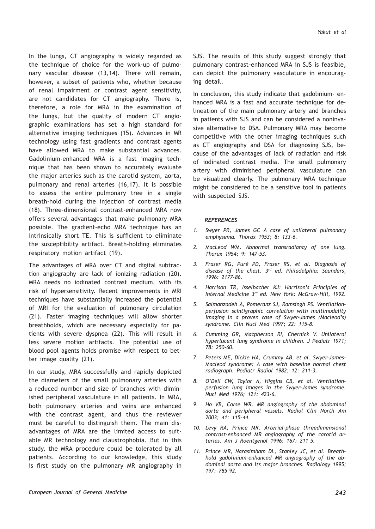In the lungs, CT angiography is widely regarded as the technique of choice for the work-up of pulmonary vascular disease (13,14). There will remain, however, a subset of patients who, whether because of renal impairment or contrast agent sensitivity, are not candidates for CT angiography. There is, therefore, a role for MRA in the examination of the lungs, but the quality of modern CT angiographic examinations has set a high standard for alternative imaging techniques (15). Advances in MR technology using fast gradients and contrast agents have allowed MRA to make substantial advances. Gadolinium-enhanced MRA is a fast imaging technique that has been shown to accurately evaluate the major arteries such as the carotid system, aorta, pulmonary and renal arteries (16,17). It is possible to assess the entire pulmonary tree in a single breath-hold during the injection of contrast media (18). Three-dimensional contrast-enhanced MRA now offers several advantages that make pulmonary MRA possible. The gradient-echo MRA technique has an intrinsically short TE. This is sufficient to eliminate the susceptibility artifact. Breath-holding eliminates respiratory motion artifact (19).

The advantages of MRA over CT and digital subtraction angiography are lack of ionizing radiation (20). MRA needs no iodinated contrast medium, with its risk of hypersensitivity. Recent improvements in MRI techniques have substantially increased the potential of MRI for the evaluation of pulmonary circulation (21). Faster imaging techniques will allow shorter breathholds, which are necessary especially for patients with severe dyspnea (22). This will result in less severe motion artifacts. The potential use of blood pool agents holds promise with respect to better image quality (21).

In our study, MRA successfully and rapidly depicted the diameters of the small pulmonary arteries with a reduced number and size of branches with diminished peripheral vasculature in all patients. In MRA, both pulmonary arteries and veins are enhanced with the contrast agent, and thus the reviewer must be careful to distinguish them. The main disadvantages of MRA are the limited access to suitable MR technology and claustrophobia. But in this study, the MRA procedure could be tolerated by all patients. According to our knowledge, this study is first study on the pulmonary MR angiography in SJS. The results of this study suggest strongly that pulmonary contrast-enhanced MRA in SJS is feasible, can depict the pulmonary vasculature in encouraging detail.

In conclusion, this study indicate that gadolinium- enhanced MRA is a fast and accurate technique for delineation of the main pulmonary artery and branches in patients with SJS and can be considered a noninvasive alternative to DSA. Pulmonary MRA may become competitive with the other imaging techniques such as CT angiography and DSA for diagnosing SJS, because of the advantages of lack of radiation and risk of iodinated contrast media. The small pulmonary artery with diminished peripheral vasculature can be visualized clearly. The pulmonary MRA technique might be considered to be a sensitive tool in patients with suspected SJS.

#### *REFERENCES*

- *1. Swyer PR, James GC A case of unilateral pulmonary emphysema. Thorax 1953; 8: 133-6.*
- *2. MacLeod WM. Abnormal transradiancy of one lung. Thorax 1954; 9: 147-53.*
- *3. Fraser RG, Puré PD, Fraser RS, et al. Diagnosis of disease of the chest. 3rd ed. Philadelphia: Saunders, 1996: 2177-86.*
- *4. Harrison TR, Isselbacher KJ: Harrison's Principles of Internal Medicine 3rd ed. New York: McGraw-Hill, 1992.*
- *5. Salmanzadeh A, Pomeranz SJ, Ramsingh PS. Ventilationperfusion scintigraphic correlation with multimodality imaging in a proven case of Swyer-James (Macleod's) syndrome. Clin Nucl Med 1997; 22: 115-8.*
- *6. Cumming GR, Macpherson RI, Chernick V. Unilateral hyperlucent lung syndrome in children. J Pediatr 1971; 78: 250-60.*
- *7. Peters ME, Dickie HA, Crummy AB, et al. Swyer-James-Macleod syndrome: A case with baseline normal chest radiograph. Pediatr Radiol 1982; 12: 211-3.*
- *8. O'Dell CW, Taylor A, Higgins CB, et al. Ventilationperfusion lung images in the Swyer-James syndrome. Nucl Med 1976; 121: 423-6.*
- *9. Ho VB, Corse WR. MR angiography of the abdominal aorta and peripheral vessels. Radiol Clin North Am 2003; 41: 115–44.*
- *10. Levy RA, Prince MR. Arterial-phase threedimensional contrast-enhanced MR angiography of the carotid arteries. Am J Roentgenol 1996; 167: 211–5.*
- *11. Prince MR, Narasimham DL, Stanley JC, et al. Breathhold gadolinium-enhanced MR angiography of the abdominal aorta and its major branches. Radiology 1995; 197: 785–92.*